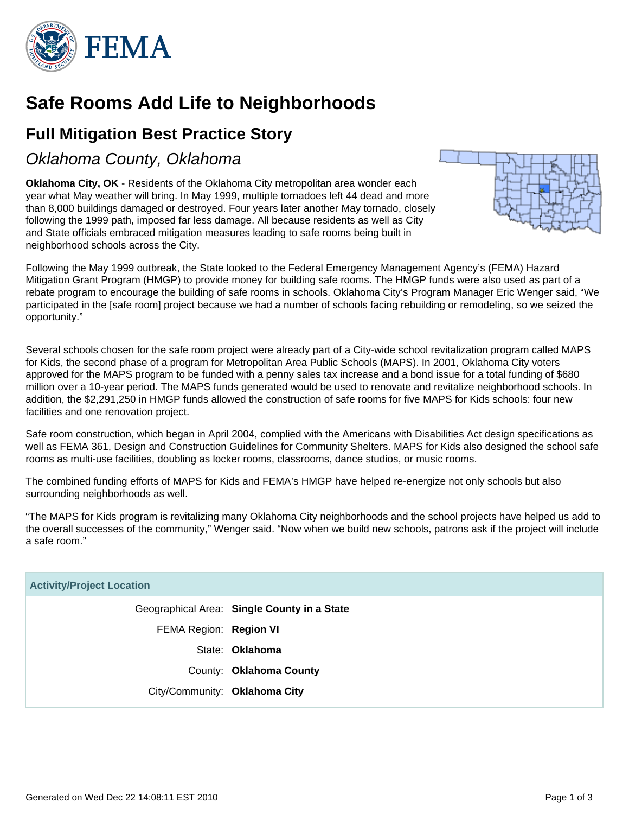

# **Safe Rooms Add Life to Neighborhoods**

## **Full Mitigation Best Practice Story**

### Oklahoma County, Oklahoma

**Oklahoma City, OK** - Residents of the Oklahoma City metropolitan area wonder each year what May weather will bring. In May 1999, multiple tornadoes left 44 dead and more than 8,000 buildings damaged or destroyed. Four years later another May tornado, closely following the 1999 path, imposed far less damage. All because residents as well as City and State officials embraced mitigation measures leading to safe rooms being built in neighborhood schools across the City.



Following the May 1999 outbreak, the State looked to the Federal Emergency Management Agency's (FEMA) Hazard Mitigation Grant Program (HMGP) to provide money for building safe rooms. The HMGP funds were also used as part of a rebate program to encourage the building of safe rooms in schools. Oklahoma City's Program Manager Eric Wenger said, "We participated in the [safe room] project because we had a number of schools facing rebuilding or remodeling, so we seized the opportunity."

Several schools chosen for the safe room project were already part of a City-wide school revitalization program called MAPS for Kids, the second phase of a program for Metropolitan Area Public Schools (MAPS). In 2001, Oklahoma City voters approved for the MAPS program to be funded with a penny sales tax increase and a bond issue for a total funding of \$680 million over a 10-year period. The MAPS funds generated would be used to renovate and revitalize neighborhood schools. In addition, the \$2,291,250 in HMGP funds allowed the construction of safe rooms for five MAPS for Kids schools: four new facilities and one renovation project.

Safe room construction, which began in April 2004, complied with the Americans with Disabilities Act design specifications as well as FEMA 361, Design and Construction Guidelines for Community Shelters. MAPS for Kids also designed the school safe rooms as multi-use facilities, doubling as locker rooms, classrooms, dance studios, or music rooms.

The combined funding efforts of MAPS for Kids and FEMA's HMGP have helped re-energize not only schools but also surrounding neighborhoods as well.

"The MAPS for Kids program is revitalizing many Oklahoma City neighborhoods and the school projects have helped us add to the overall successes of the community," Wenger said. "Now when we build new schools, patrons ask if the project will include a safe room."

| <b>Activity/Project Location</b> |                                             |
|----------------------------------|---------------------------------------------|
|                                  | Geographical Area: Single County in a State |
| FEMA Region: Region VI           |                                             |
|                                  | State: Oklahoma                             |
|                                  | County: Oklahoma County                     |
| City/Community: Oklahoma City    |                                             |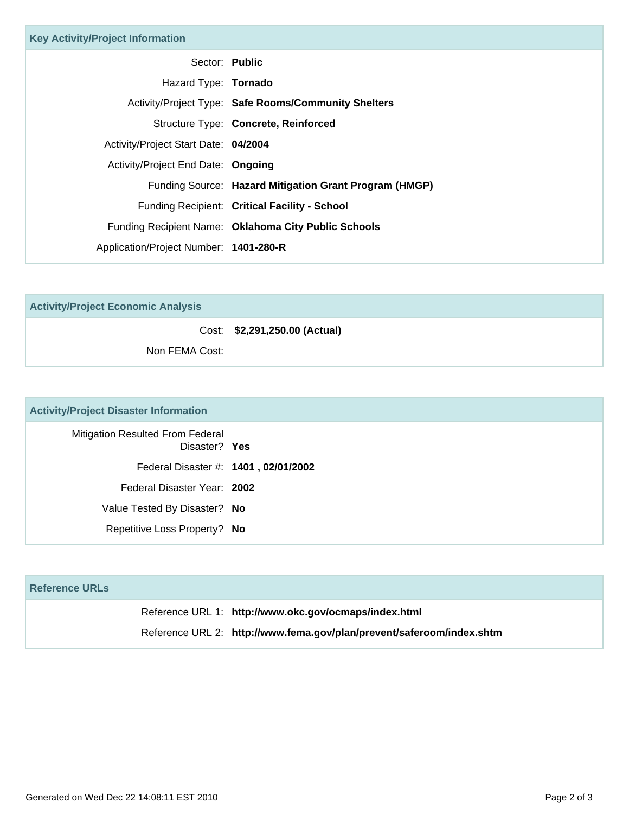| <b>Key Activity/Project Information</b> |                                                        |
|-----------------------------------------|--------------------------------------------------------|
| Sector: Public                          |                                                        |
| Hazard Type: Tornado                    |                                                        |
|                                         | Activity/Project Type: Safe Rooms/Community Shelters   |
|                                         | Structure Type: Concrete, Reinforced                   |
| Activity/Project Start Date: 04/2004    |                                                        |
| Activity/Project End Date: Ongoing      |                                                        |
|                                         | Funding Source: Hazard Mitigation Grant Program (HMGP) |
|                                         | Funding Recipient: Critical Facility - School          |
|                                         | Funding Recipient Name: Oklahoma City Public Schools   |
| Application/Project Number: 1401-280-R  |                                                        |

**Activity/Project Economic Analysis**

Cost: **\$2,291,250.00 (Actual)**

Non FEMA Cost:

#### **Activity/Project Disaster Information**

| <b>Mitigation Resulted From Federal</b><br>Disaster? Yes |
|----------------------------------------------------------|
| Federal Disaster #: 1401, 02/01/2002                     |
| Federal Disaster Year: 2002                              |
| Value Tested By Disaster? No                             |
| Repetitive Loss Property? No                             |

| <b>Reference URLs</b> |                                                                       |  |
|-----------------------|-----------------------------------------------------------------------|--|
|                       | Reference URL 1: http://www.okc.gov/ocmaps/index.html                 |  |
|                       | Reference URL 2: http://www.fema.gov/plan/prevent/saferoom/index.shtm |  |